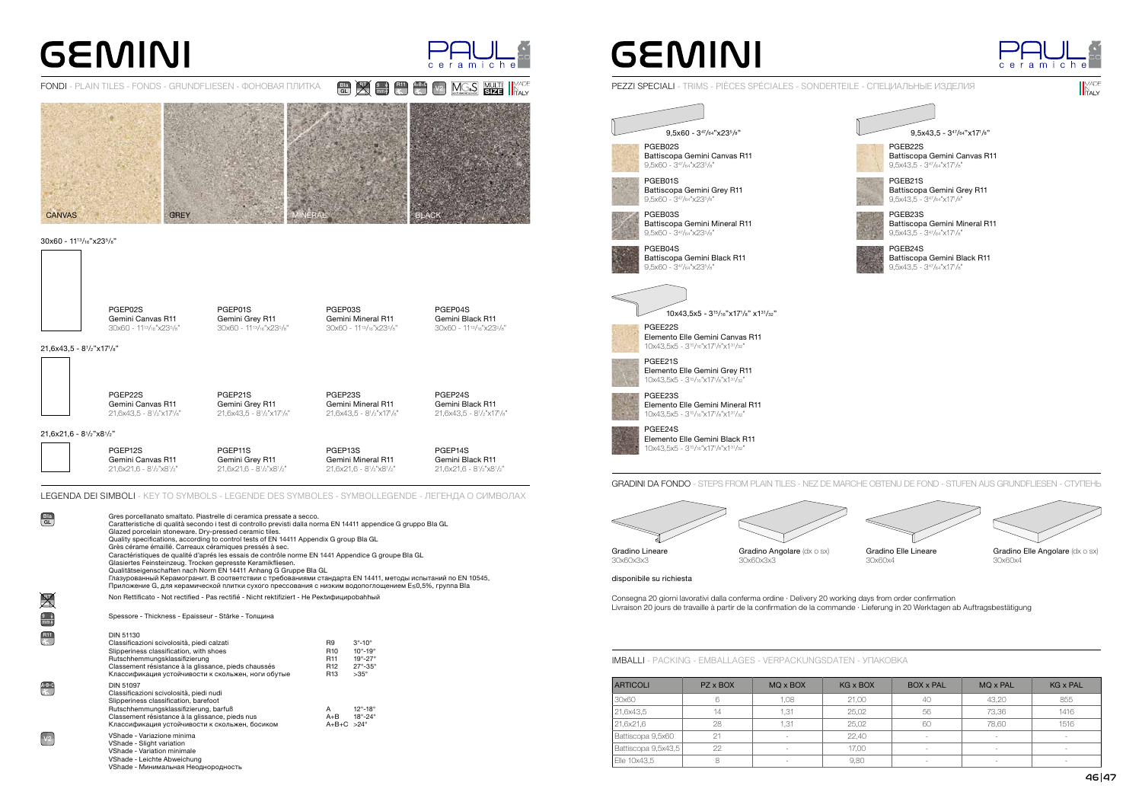21,6x43,5 - 81/2"x171/8"

## **GEMINI**



### FONDI - PLAIN TILES - FONDS - GRUNDFLIESEN - ФОНОВАЯ ПЛИТКА

PGEP02S Gemini Canvas R11 30x60 - 1113/16"x235/8" PGEP01S Gemini Grey R11 30x60 - 1113/16"x235/8" PGEP03S Gemini Mineral R11 30x60 - 1113/16"x235/8" PGEP04S Gemini Black R11 30x60 - 1113/16"x235/8"

#### 30x60 - 1113/16"x235/8"



PGEP22S Gemini Canvas R11 21,6x43,5 - 81/2"x171/8"

PGEP21S Gemini Grey R11 21,6x43,5 - 81/2"x171/8"

PGEP23S Gemini Mineral R11 21,6x43,5 - 81/2"x171/8" PGEP24S Gemini Black R11

21,6x43,5 - 81/2"x171/8"



Battiscopa Gemini Canvas R11 9,5x43,5 - 347/64"x171/8"

PGEB21S Battiscopa Gemini Grey R11 9,5x43,5 - 347/64"x171/8"



| <b>ARTICOLI</b>     | PZ x BOX | MQ x BOX                 | <b>KG x BOX</b> | <b>BOX x PAL</b>         | MQ x PAL                 | <b>KG x PAL</b>          |
|---------------------|----------|--------------------------|-----------------|--------------------------|--------------------------|--------------------------|
| 30x60               | 6        | 1,08                     | 21,00           | 40                       | 43,20                    | 855                      |
| 21,6x43,5           | 14       | 1,31                     | 25,02           | 56                       | 73,36                    | 1416                     |
| 21,6x21,6           | 28       | 1,31                     | 25,02           | 60                       | 78.60                    | 1516                     |
| Battiscopa 9,5x60   | 21       | $\overline{\phantom{a}}$ | 22,40           | $\overline{\phantom{a}}$ | $\overline{\phantom{a}}$ | $\sim$                   |
| Battiscopa 9,5x43,5 | 22       | $\overline{\phantom{a}}$ | 17,00           |                          | $\overline{\phantom{a}}$ | $\overline{\phantom{a}}$ |
| Elle 10x43,5        | 8        | $\sim$                   | 9,80            | $\sim$                   | $\overline{\phantom{a}}$ | $\sim$                   |





Gradino Angolare (dx o sx) 30x60x3x3

Gradino Elle Angolare (dx o sx) 30x60x4

### PEZZI SPECIALI - TRIMS - PIÈCES SPÉCIALES - SONDERTEILE - CПЕЦИАЛЬНЫЕ ИЗДЕЛИЯ

PGEB23S Battiscopa Gemini Mineral R11 9,5x43,5 - 347/64"x171/8"



PGEB24S Battiscopa Gemini Black R11 9,5x43,5 - 347/64"x171/8"

9,5x43,5 - 347/64"x171/8"

IMBALLI - PACKING - EMBALLAGES - VERPACKUNGSDATEN - УПАКОВКА



21,6x21,6 - 81/2"x81/2"

 $\mathbb{X}$ 

PGEP12S

Gemini Canvas R11 21,6x21,6 - 81/2"x81/2"

PGEP11S Gemini Grey R11 21,6x21,6 - 81/2"x81/2" PGEP13S

Gemini Mineral R11 21,6x21,6 - 81/2"x81/2"

PGEP14S Gemini Black R11

21,6x21,6 - 81/2"x81/2"

GRADINI DA FONDO - STEPS FROM PLAIN TILES - NEZ DE MARCHE OBTENU DE FOND - STUFEN AUS GRUNDFLIESEN - CТУПЕНЬ

Gradino Lineare 30x60x3x3





Consegna 20 giorni lavorativi dalla conferma ordine · Delivery 20 working days from order confirmation Livraison 20 jours de travaille à partir de la confirmation de la commande · Lieferung in 20 Werktagen ab Auftragsbestätigung

disponibile su richiesta

LEGENDA DEI SIMBOLI - KEY TO SYMBOLS - LEGENDE DES SYMBOLES - SYMBOLLEGENDE - ЛЕГЕНДА О СИМВОЛАХ

V2

9 mm

 $A+B+C$ 

VShade - Минимальная Неоднородность

Non Rettificato - Not rectified - Pas rectifié - Nicht rektifiziert - Не Peкtифициpobahhый Spessore - Thickness - Epaisseur - Stärke - Толщина DIN 51130 Classificazioni scivolosità, piedi calzati Slipperiness classification, with shoes Rutschhemmungsklassifizierung Classement résistance à la glissance, pieds chaussés Классификация устойчивости к скольжен, ноги обутые R9 3°-10°<br>R10 10°-19 R10 10°-19°<br>R11 19°-27° R11 19°-27°<br>R12 27°-35°  $27^{\circ}$ -35°<br>>35° R<sub>13</sub> DIN 51097 Classificazioni scivolosità, piedi nudi Slipperiness classification, barefoot Rutschhemmungsklassifizierung, barfuß Classement résistance à la glissance, pieds nus Классификация устойчивости к скольжен, босиком A 12°-18°<br>A+B 18°-24° 18°-24 $^{\circ}$  $A+B+C > 24^\circ$ VShade - Variazione minima VShade - Slight variation VShade - Variation minimale VShade - Leichte Abweichung Caratteristiche di qualità secondo i test di controllo previsti dalla norma EN 14411 appendice G gruppo BIa GL Glazed porcelain stoneware. Dry-pressed ceramic tiles. Quality specifications, according to control tests of EN 14411 Appendix G group BIa GL Grès cérame émaillé. Carreaux céramiques pressés à sec. Caractéristiques de qualité d'aprés les essais de contrôle norme EN 1441 Appendice G groupe BIa GL Glasiertes Feinsteinzeug. Trocken gepresste Keramikfliesen. Qualitätseigenschaften nach Norm EN 14411 Anhang G Gruppe BIa GL Глазурованный Керамогранит. В соответствии с требованиями стандарта EN 14411, методы испытаний по EN 10545, Приложение G, для керамической плитки сухого прессования с низким водопоглощением E≤0,5%, группа BIa

## **GEMINI**

Gres porcellanato smaltato. Piastrelle di ceramica pressate a secco.

BIa GL

 $R11$